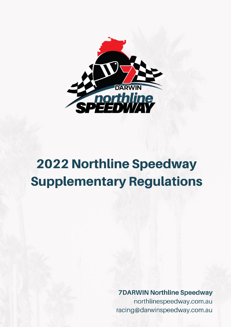

# **2022 Northline Speedway Supplementary Regulations**

**7DARWIN Northline Speedway** northlinespeedway.com.au racing@darwinspeedway.com.au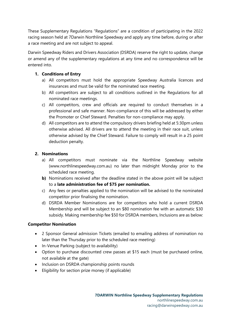These Supplementary Regulations "Regulations" are a condition of participating in the 2022 racing season held at 7Darwin Northline Speedway and apply any time before, during or after a race meeting and are not subject to appeal.

Darwin Speedway Riders and Drivers Association (DSRDA) reserve the right to update, change or amend any of the supplementary regulations at any time and no correspondence will be entered into.

## **1. Conditions of Entry**

- a) All competitors must hold the appropriate Speedway Australia licences and insurances and must be valid for the nominated race meeting.
- b) All competitors are subject to all conditions outlined in the Regulations for all nominated race meetings.
- c) All competitors, crew and officials are required to conduct themselves in a professional and safe manner. Non-compliance of this will be addressed by either the Promoter or Chief Steward. Penalties for non-compliance may apply.
- d) All competitors are to attend the compulsory drivers briefing held at 5:30pm unless otherwise advised. All drivers are to attend the meeting in their race suit, unless otherwise advised by the Chief Steward. Failure to comply will result in a 25 point deduction penalty.

## **2. Nominations**

- a) All competitors must nominate via the Northline Speedway website (www.northlinespeedway.com.au) no later than midnight Monday prior to the scheduled race meeting.
- **b)** Nominations received after the deadline stated in the above point will be subject to a **late administration fee of \$75 per nomination.**
- c) Any fees or penalties applied to the nomination will be advised to the nominated competitor prior finalising the nomination.
- d) DSRDA Member Nominations are for competitors who hold a current DSRDA Membership and will be subject to an \$80 nomination fee with an automatic \$30 subsidy. Making membership fee \$50 for DSRDA members, Inclusions are as below:

## **Competitor Nomination**

- 2 Sponsor General admission Tickets (emailed to emailing address of nomination no later than the Thursday prior to the scheduled race meeting)
- In-Venue Parking (subject to availability)
- Option to purchase discounted crew passes at \$15 each (must be purchased online, not available at the gate)
- Inclusion on DSRDA championship points rounds
- Eligibility for section prize money (if applicable)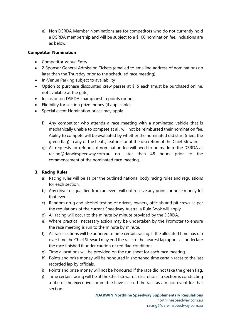e) Non DSRDA Member Nominations are for competitors who do not currently hold a DSRDA membership and will be subject to a \$100 nomination fee. Inclusions are as below:

### **Competitor Nomination**

- Competitor Venue Entry
- 2 Sponsor General Admission Tickets (emailed to emailing address of nomination) no later than the Thursday prior to the scheduled race meeting)
- In-Venue Parking subject to availability
- Option to purchase discounted crew passes at \$15 each (must be purchased online, not available at the gate)
- Inclusion on DSRDA championship points rounds
- Eligibility for section prize money (if applicable)
- Special event Nomination prices may apply
	- f) Any competitor who attends a race meeting with a nominated vehicle that is mechanically unable to compete at all, will not be reimbursed their nomination fee. Ability to compete will be evaluated by whether the nominated did start (meet the green flag) in any of the heats, features or at the discretion of the Chief Steward.
	- g) All requests for refunds of nomination fee will need to be made to the DSRDA at racing@darwinspeedway.com.au no later than 48 hours prior to the commencement of the nominated race meeting.

## **3. Racing Rules**

- a) Racing rules will be as per the outlined national body racing rules and regulations for each section.
- b) Any driver disqualified from an event will not receive any points or prize money for that event.
- c) Random drug and alcohol testing of drivers, owners, officials and pit crews as per the regulations of the current Speedway Australia Rule Book will apply.
- d) All racing will occur to the minute by minute provided by the DSRDA.
- e) Where practical, necessary action may be undertaken by the Promoter to ensure the race meeting is run to the minute by minute.
- f) All race sections will be adhered to time certain racing. If the allocated time has ran over time the Chief Steward may end the race to the nearest lap upon call or declare the race finished if under caution or red flag conditions.
- g) Time allocations will be provided on the run sheet for each race meeting.
- h) Points and prize money will be honoured in shortened time certain races to the last recorded lap by officials.
- i) Points and prize money will not be honoured if the race did not take the green flag.
- j) Time certain racing will be at the Chief steward's discretion if a section is conducting a title or the executive committee have classed the race as a major event for that section.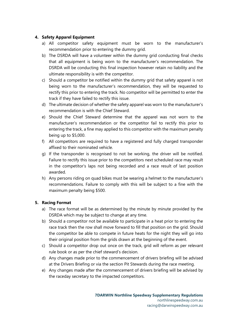## **4. Safety Apparel Equipment**

- a) All competitor safety equipment must be worn to the manufacturer's recommendation prior to entering the dummy grid.
- b) The DSRDA will have a volunteer within the dummy grid conducting final checks that all equipment is being worn to the manufacturer's recommendation. The DSRDA will be conducting this final inspection however retain no liability and the ultimate responsibility is with the competitor.
- c) Should a competitor be notified within the dummy grid that safety apparel is not being worn to the manufacturer's recommendation, they will be requested to rectify this prior to entering the track. No competitor will be permitted to enter the track if they have failed to rectify this issue.
- d) The ultimate decision of whether the safety apparel was worn to the manufacturer's recommendation is with the Chief Steward.
- e) Should the Chief Steward determine that the apparel was not worn to the manufacturer's recommendation or the competitor fail to rectify this prior to entering the track, a fine may applied to this competitor with the maximum penalty being up to \$5,000.
- f) All competitors are required to have a registered and fully charged transponder affixed to their nominated vehicle.
- g) If the transponder is recognised to not be working, the driver will be notified. Failure to rectify this issue prior to the competitors next scheduled race may result in the competitor's laps not being recorded and a race result of last position awarded.
- h) Any persons riding on quad bikes must be wearing a helmet to the manufacturer's recommendations. Failure to comply with this will be subject to a fine with the maximum penalty being \$500.

## **5. Racing Format**

- a) The race format will be as determined by the minute by minute provided by the DSRDA which may be subject to change at any time.
- b) Should a competitor not be available to participate in a heat prior to entering the race track then the row shall move forward to fill that position on the grid. Should the competitor be able to compete in future heats for the night they will go into their original position from the grids drawn at the beginning of the event.
- c) Should a competitor drop out once on the track, grid will reform as per relevant rule book or as per the chief steward's decision.
- d) Any changes made prior to the commencement of drivers briefing will be advised at the Drivers Briefing or via the section Pit Stewards during the race meeting.
- e) Any changes made after the commencement of drivers briefing will be advised by the raceday secretary to the impacted competitors.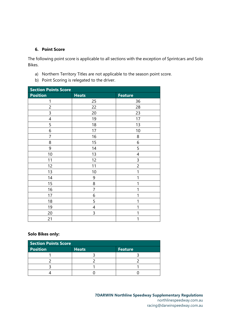#### **6. Point Score**

The following point score is applicable to all sections with the exception of Sprintcars and Solo Bikes.

- a) Northern Territory Titles are not applicable to the season point score.
- b) Point Scoring is relegated to the driver.

| <b>Section Points Score</b> |                |                |  |  |
|-----------------------------|----------------|----------------|--|--|
| <b>Position</b>             | <b>Heats</b>   | <b>Feature</b> |  |  |
| 1                           | 25             | 36             |  |  |
| $\overline{c}$              | 22             | 28             |  |  |
| 3                           | 20             | 23             |  |  |
| 4                           | 19             | 17             |  |  |
| 5                           | 18             | 13             |  |  |
| 6                           | 17             | 10             |  |  |
| 7                           | 16             | 8              |  |  |
| 8                           | 15             | 6              |  |  |
| 9                           | 14             | 5              |  |  |
| 10                          | 13             | 4              |  |  |
| 11                          | 12             | 3              |  |  |
| 12                          | 11             | $\overline{c}$ |  |  |
| 13                          | 10             | 1              |  |  |
| 14                          | 9              | 1              |  |  |
| 15                          | 8              | 1              |  |  |
| 16                          | $\overline{7}$ | 1              |  |  |
| 17                          | 6              | 1              |  |  |
| 18                          | 5              | 1              |  |  |
| 19                          | 4              | 1              |  |  |
| 20                          | 3              | 1              |  |  |
| 21                          |                | 1              |  |  |

## **Solo Bikes only:**

| <b>Section Points Score</b> |              |                |  |
|-----------------------------|--------------|----------------|--|
| <b>Position</b>             | <b>Heats</b> | <b>Feature</b> |  |
|                             |              |                |  |
|                             |              |                |  |
|                             |              |                |  |
|                             |              |                |  |

**7DARWIN Northline Speedway Supplementary Regulations** northlinespeedway.com.au racing@darwinspeedway.com.au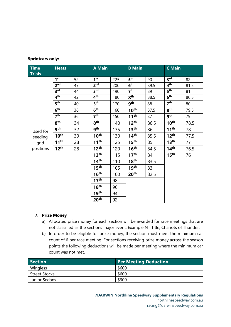#### **Sprintcars only:**

| <b>Time</b><br><b>Trials</b> | <b>Heats</b>     |    | <b>A Main</b>    |     | <b>B</b> Main    |      | <b>C</b> Main    |      |
|------------------------------|------------------|----|------------------|-----|------------------|------|------------------|------|
|                              | 1 <sup>st</sup>  | 52 | 1 <sup>st</sup>  | 225 | $5^{\text{th}}$  | 90   | 3 <sup>rd</sup>  | 82   |
|                              | 2 <sub>nd</sub>  | 47 | 2 <sub>nd</sub>  | 200 | $6^{\sf th}$     | 89.5 | 4 <sup>th</sup>  | 81.5 |
|                              | 3 <sup>rd</sup>  | 44 | 3 <sup>rd</sup>  | 190 | 7 <sup>th</sup>  | 89   | 5 <sup>th</sup>  | 81   |
|                              | $4^{\text{th}}$  | 42 | 4 <sup>th</sup>  | 180 | 8 <sup>th</sup>  | 88.5 | 6 <sup>th</sup>  | 80.5 |
|                              | 5 <sup>th</sup>  | 40 | 5 <sup>th</sup>  | 170 | gth              | 88   | 7 <sup>th</sup>  | 80   |
|                              | 6 <sup>th</sup>  | 38 | 6 <sup>th</sup>  | 160 | 10 <sup>th</sup> | 87.5 | 8 <sup>th</sup>  | 79.5 |
|                              | 7 <sup>th</sup>  | 36 | 7 <sup>th</sup>  | 150 | 11 <sup>th</sup> | 87   | gth              | 79   |
|                              | 8 <sup>th</sup>  | 34 | 8 <sup>th</sup>  | 140 | 12 <sup>th</sup> | 86.5 | 10 <sup>th</sup> | 78.5 |
| Used for                     | 9 <sup>th</sup>  | 32 | <b>gth</b>       | 135 | 13 <sup>th</sup> | 86   | 11 <sup>th</sup> | 78   |
| seeding                      | $10^{\text{th}}$ | 30 | 10 <sup>th</sup> | 130 | 14 <sup>th</sup> | 85.5 | 12 <sup>th</sup> | 77.5 |
| grid                         | 11 <sup>th</sup> | 28 | 11 <sup>th</sup> | 125 | $15^{\text{th}}$ | 85   | 13 <sup>th</sup> | 77   |
| positions                    | $12^{\text{th}}$ | 28 | 12 <sup>th</sup> | 120 | 16 <sup>th</sup> | 84.5 | 14 <sup>th</sup> | 76.5 |
|                              |                  |    | 13 <sup>th</sup> | 115 | 17 <sup>th</sup> | 84   | 15 <sup>th</sup> | 76   |
|                              |                  |    | 14 <sup>th</sup> | 110 | 18 <sup>th</sup> | 83.5 |                  |      |
|                              |                  |    | 15 <sup>th</sup> | 105 | 19 <sup>th</sup> | 83   |                  |      |
|                              |                  |    | 16 <sup>th</sup> | 100 | 20 <sup>th</sup> | 82.5 |                  |      |
|                              |                  |    | 17 <sup>th</sup> | 98  |                  |      |                  |      |
|                              |                  |    | 18 <sup>th</sup> | 96  |                  |      |                  |      |
|                              |                  |    | 19 <sup>th</sup> | 94  |                  |      |                  |      |
|                              |                  |    | 20 <sup>th</sup> | 92  |                  |      |                  |      |

#### **7. Prize Money**

- a) Allocated prize money for each section will be awarded for race meetings that are not classified as the sections major event. Example NT Title, Chariots of Thunder.
- b) In order to be eligible for prize money, the section must meet the minimum car count of 6 per race meeting. For sections receiving prize money across the season points the following deductions will be made per meeting where the minimum car count was not met.

| Section       | <b>Per Meeting Deduction</b> |
|---------------|------------------------------|
| Wingless      | \$600                        |
| Street Stocks | \$600                        |
| Junior Sedans | \$300                        |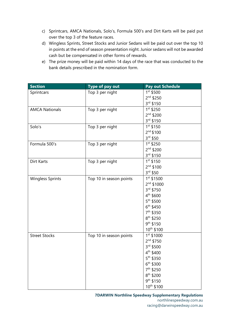- c) Sprintcars, AMCA Nationals, Solo's, Formula 500's and Dirt Karts will be paid put over the top 3 of the feature races.
- d) Wingless Sprints, Street Stocks and Junior Sedans will be paid out over the top 10 in points at the end of season presentation night. Junior sedans will not be awarded cash but be compensated in other forms of rewards.
- e) The prize money will be paid within 14 days of the race that was conducted to the bank details prescribed in the nomination form.

| <b>Section</b>          | Type of pay out         | Pay out Schedule       |
|-------------------------|-------------------------|------------------------|
| Sprintcars              | Top 3 per night         | $1^{st}$ \$500         |
|                         |                         | $2^{nd}$ \$250         |
|                         |                         | 3rd \$150              |
| <b>AMCA Nationals</b>   | Top 3 per night         | $1^{st}$ \$250         |
|                         |                         | $2^{nd}$ \$200         |
|                         |                         | 3rd \$150              |
| Solo's                  | Top 3 per night         | $1st$ \$150            |
|                         |                         | $2^{nd}$ \$100         |
|                         |                         | 3rd \$50               |
| Formula 500's           | Top 3 per night         | 1st \$250              |
|                         |                         | $2^{nd}$ \$200         |
|                         |                         | 3rd \$150              |
| Dirt Karts              | Top 3 per night         | 1st \$150              |
|                         |                         | $2^{nd}$ \$100         |
|                         |                         | $3^{rd}$ \$50          |
| <b>Wingless Sprints</b> | Top 10 in season points | $1^{st}$ \$1500        |
|                         |                         | $2nd$ \$1000           |
|                         |                         | 3rd \$750              |
|                         |                         | 4 <sup>th</sup> \$600  |
|                         |                         | 5 <sup>th</sup> \$500  |
|                         |                         | 6 <sup>th</sup> \$450  |
|                         |                         | 7 <sup>th</sup> \$350  |
|                         |                         | 8 <sup>th</sup> \$250  |
|                         |                         | 9 <sup>th</sup> \$150  |
|                         |                         | 10 <sup>th</sup> \$100 |
| <b>Street Stocks</b>    | Top 10 in season points | 1st \$1000             |
|                         |                         | $2^{nd}$ \$750         |
|                         |                         | 3rd \$500              |
|                         |                         | 4 <sup>th</sup> \$400  |
|                         |                         | $5^{th}$ \$350         |
|                         |                         | $6^{th}$ \$300         |
|                         |                         | 7 <sup>th</sup> \$250  |
|                         |                         | 8 <sup>th</sup> \$200  |
|                         |                         | 9 <sup>th</sup> \$150  |
|                         |                         | 10th \$100             |

## **7DARWIN Northline Speedway Supplementary Regulations**

northlinespeedway.com.au racing@darwinspeedway.com.au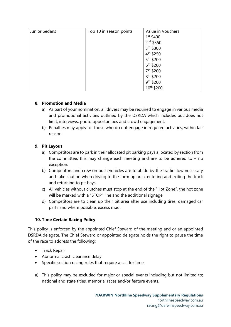| Junior Sedans | Top 10 in season points | Value in Vouchers     |
|---------------|-------------------------|-----------------------|
|               |                         | $1^{st}$ \$400        |
|               |                         | 2 <sup>nd</sup> \$350 |
|               |                         | 3rd \$300             |
|               |                         | 4 <sup>th</sup> \$250 |
|               |                         | 5 <sup>th</sup> \$200 |
|               |                         | $6^{th}$ \$200        |
|               |                         | 7 <sup>th</sup> \$200 |
|               |                         | 8 <sup>th</sup> \$200 |
|               |                         | 9 <sup>th</sup> \$200 |
|               |                         | 10th \$200            |

## **8. Promotion and Media**

- a) As part of your nomination, all drivers may be required to engage in various media and promotional activities outlined by the DSRDA which includes but does not limit; interviews, photo opportunities and crowd engagement.
- b) Penalties may apply for those who do not engage in required activities, within fair reason.

## **9. Pit Layout**

- a) Competitors are to park in their allocated pit parking pays allocated by section from the committee, this may change each meeting and are to be adhered to  $-$  no exception.
- b) Competitors and crew on push vehicles are to abide by the traffic flow necessary and take caution when driving to the form up area, entering and exiting the track and returning to pit bays.
- c) All vehicles without clutches must stop at the end of the "Hot Zone", the hot zone will be marked with a "STOP" line and the additional signage
- d) Competitors are to clean up their pit area after use including tires, damaged car parts and where possible, excess mud.

## **10. Time Certain Racing Policy**

This policy is enforced by the appointed Chief Steward of the meeting and or an appointed DSRDA delegate. The Chief Steward or appointed delegate holds the right to pause the time of the race to address the following:

- Track Repair
- Abnormal crash clearance delay
- Specific section racing rules that require a call for time
- a) This policy may be excluded for major or special events including but not limited to; national and state titles, memorial races and/or feature events.